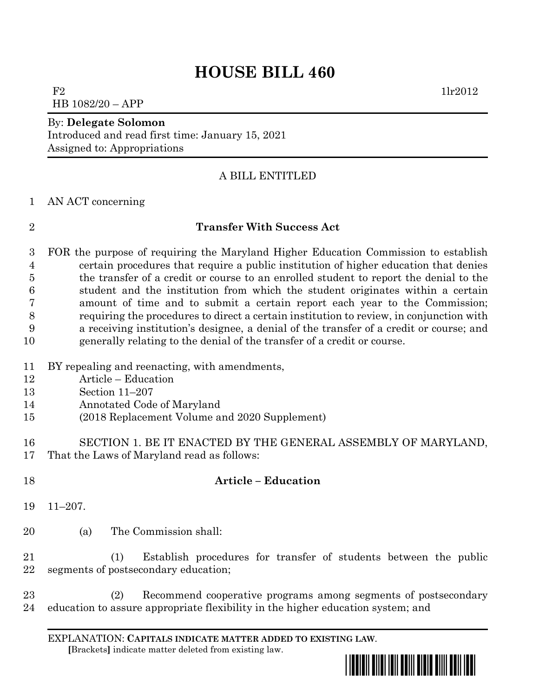# **HOUSE BILL 460**

 $F2$  1lr2012 HB 1082/20 – APP

#### By: **Delegate Solomon**

Introduced and read first time: January 15, 2021 Assigned to: Appropriations

## A BILL ENTITLED

#### AN ACT concerning

## **Transfer With Success Act**

 FOR the purpose of requiring the Maryland Higher Education Commission to establish certain procedures that require a public institution of higher education that denies the transfer of a credit or course to an enrolled student to report the denial to the student and the institution from which the student originates within a certain amount of time and to submit a certain report each year to the Commission; requiring the procedures to direct a certain institution to review, in conjunction with a receiving institution's designee, a denial of the transfer of a credit or course; and generally relating to the denial of the transfer of a credit or course.

- BY repealing and reenacting, with amendments,
- Article Education
- Section 11–207
- Annotated Code of Maryland
- (2018 Replacement Volume and 2020 Supplement)
- SECTION 1. BE IT ENACTED BY THE GENERAL ASSEMBLY OF MARYLAND, That the Laws of Maryland read as follows:
- **Article – Education**
- 11–207.
- (a) The Commission shall:

 (1) Establish procedures for transfer of students between the public segments of postsecondary education;

 (2) Recommend cooperative programs among segments of postsecondary education to assure appropriate flexibility in the higher education system; and

EXPLANATION: **CAPITALS INDICATE MATTER ADDED TO EXISTING LAW**.  **[**Brackets**]** indicate matter deleted from existing law.

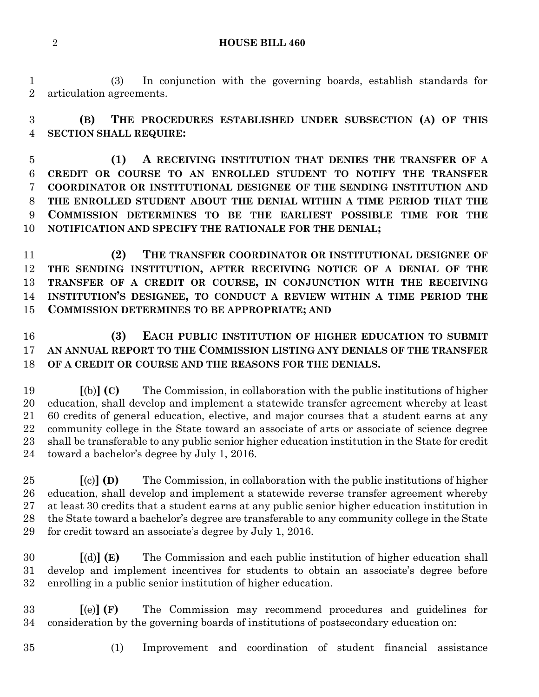**HOUSE BILL 460**

 (3) In conjunction with the governing boards, establish standards for articulation agreements.

 **(B) THE PROCEDURES ESTABLISHED UNDER SUBSECTION (A) OF THIS SECTION SHALL REQUIRE:**

 **(1) A RECEIVING INSTITUTION THAT DENIES THE TRANSFER OF A CREDIT OR COURSE TO AN ENROLLED STUDENT TO NOTIFY THE TRANSFER COORDINATOR OR INSTITUTIONAL DESIGNEE OF THE SENDING INSTITUTION AND THE ENROLLED STUDENT ABOUT THE DENIAL WITHIN A TIME PERIOD THAT THE COMMISSION DETERMINES TO BE THE EARLIEST POSSIBLE TIME FOR THE NOTIFICATION AND SPECIFY THE RATIONALE FOR THE DENIAL;**

 **(2) THE TRANSFER COORDINATOR OR INSTITUTIONAL DESIGNEE OF THE SENDING INSTITUTION, AFTER RECEIVING NOTICE OF A DENIAL OF THE TRANSFER OF A CREDIT OR COURSE, IN CONJUNCTION WITH THE RECEIVING INSTITUTION'S DESIGNEE, TO CONDUCT A REVIEW WITHIN A TIME PERIOD THE COMMISSION DETERMINES TO BE APPROPRIATE; AND**

# **(3) EACH PUBLIC INSTITUTION OF HIGHER EDUCATION TO SUBMIT AN ANNUAL REPORT TO THE COMMISSION LISTING ANY DENIALS OF THE TRANSFER OF A CREDIT OR COURSE AND THE REASONS FOR THE DENIALS.**

 **[**(b)**] (C)** The Commission, in collaboration with the public institutions of higher education, shall develop and implement a statewide transfer agreement whereby at least 60 credits of general education, elective, and major courses that a student earns at any community college in the State toward an associate of arts or associate of science degree shall be transferable to any public senior higher education institution in the State for credit toward a bachelor's degree by July 1, 2016.

 **[**(c)**] (D)** The Commission, in collaboration with the public institutions of higher education, shall develop and implement a statewide reverse transfer agreement whereby at least 30 credits that a student earns at any public senior higher education institution in the State toward a bachelor's degree are transferable to any community college in the State for credit toward an associate's degree by July 1, 2016.

 **[**(d)**] (E)** The Commission and each public institution of higher education shall develop and implement incentives for students to obtain an associate's degree before enrolling in a public senior institution of higher education.

 **[**(e)**] (F)** The Commission may recommend procedures and guidelines for consideration by the governing boards of institutions of postsecondary education on:

- 
- (1) Improvement and coordination of student financial assistance